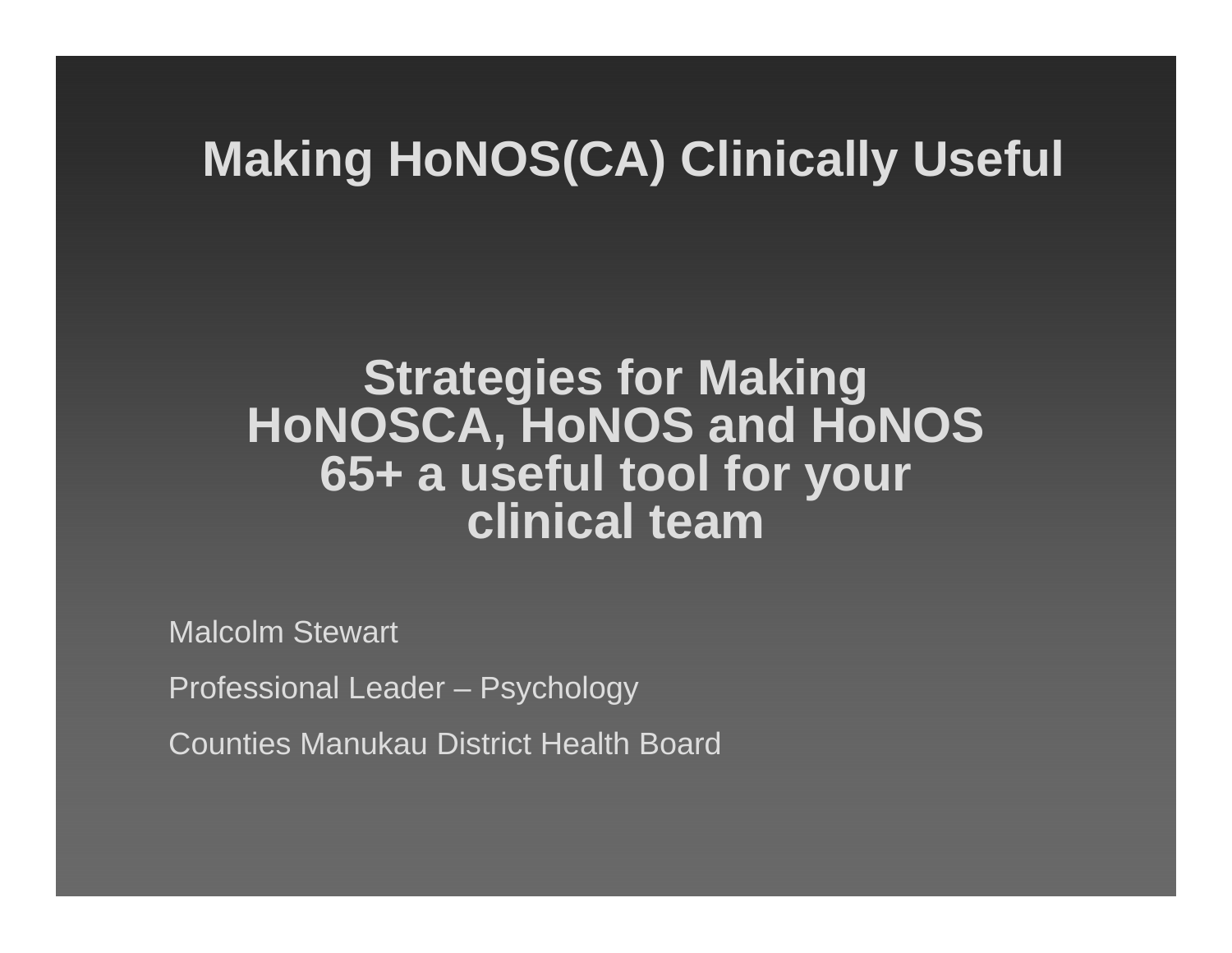### **Making HoNOS(CA) Clinically Useful**

### **Strategies for Making HoNOSCA, HoNOS and HoNOS 65+ a useful tool for your clinical team**

Malcolm Stewart

Professional Leader – Psychology

Counties Manukau District Health Board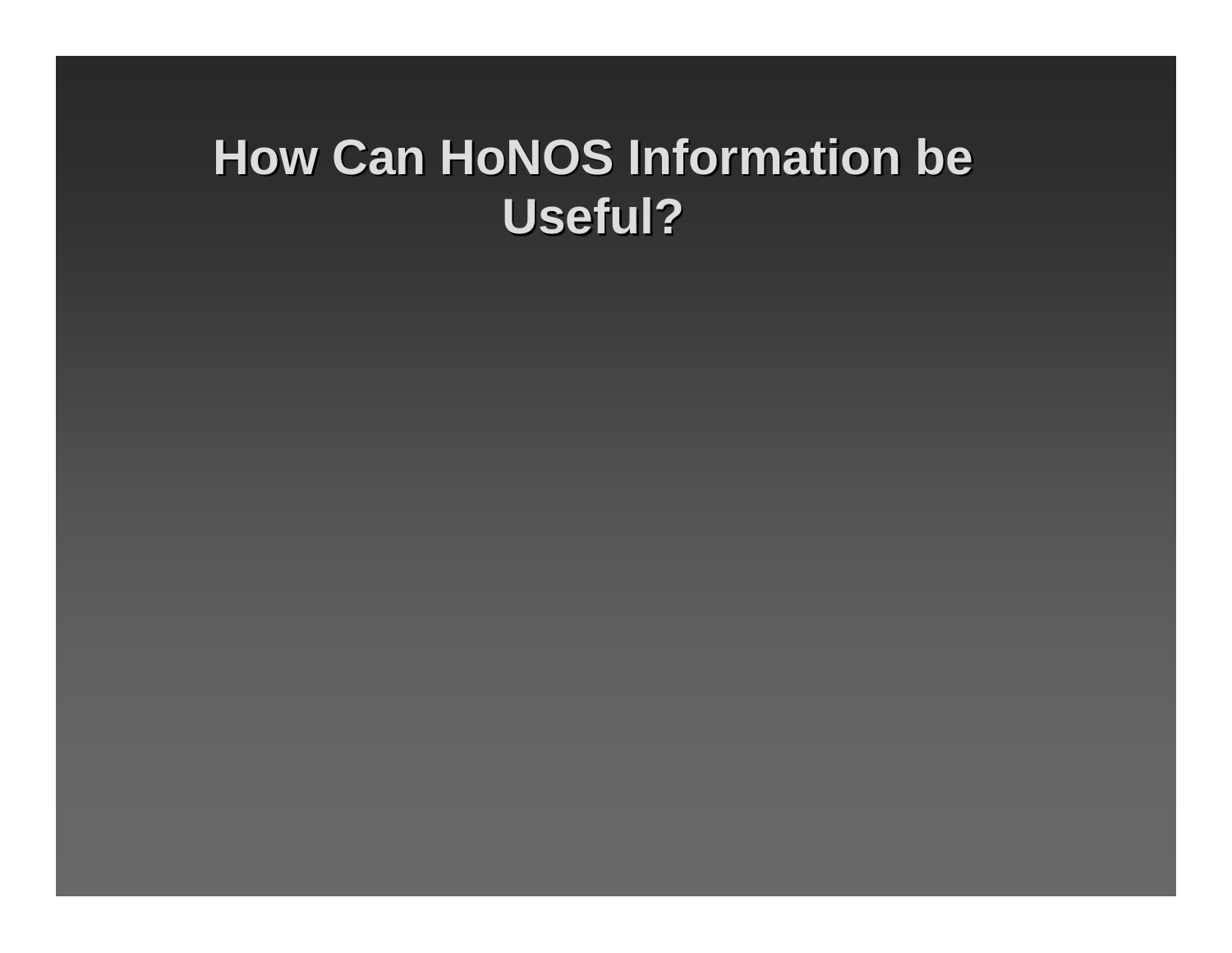### **How Can HoNOS Information be Useful? Useful?**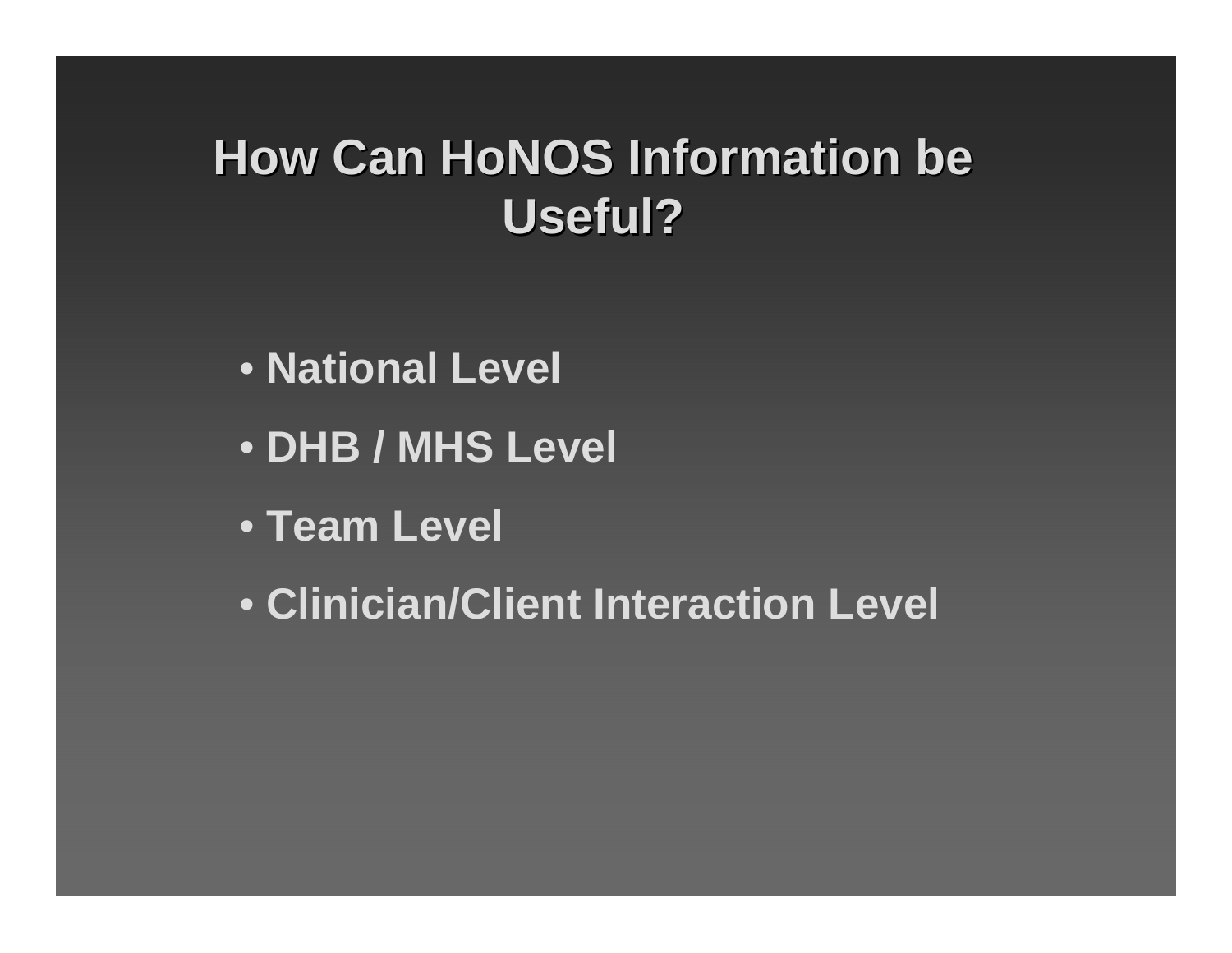### **How Can HoNOS Information be Useful? Useful?**

- **National Level**
- **DHB / MHS Level**
- **Team Level**
- **Clinician/Client Interaction Level**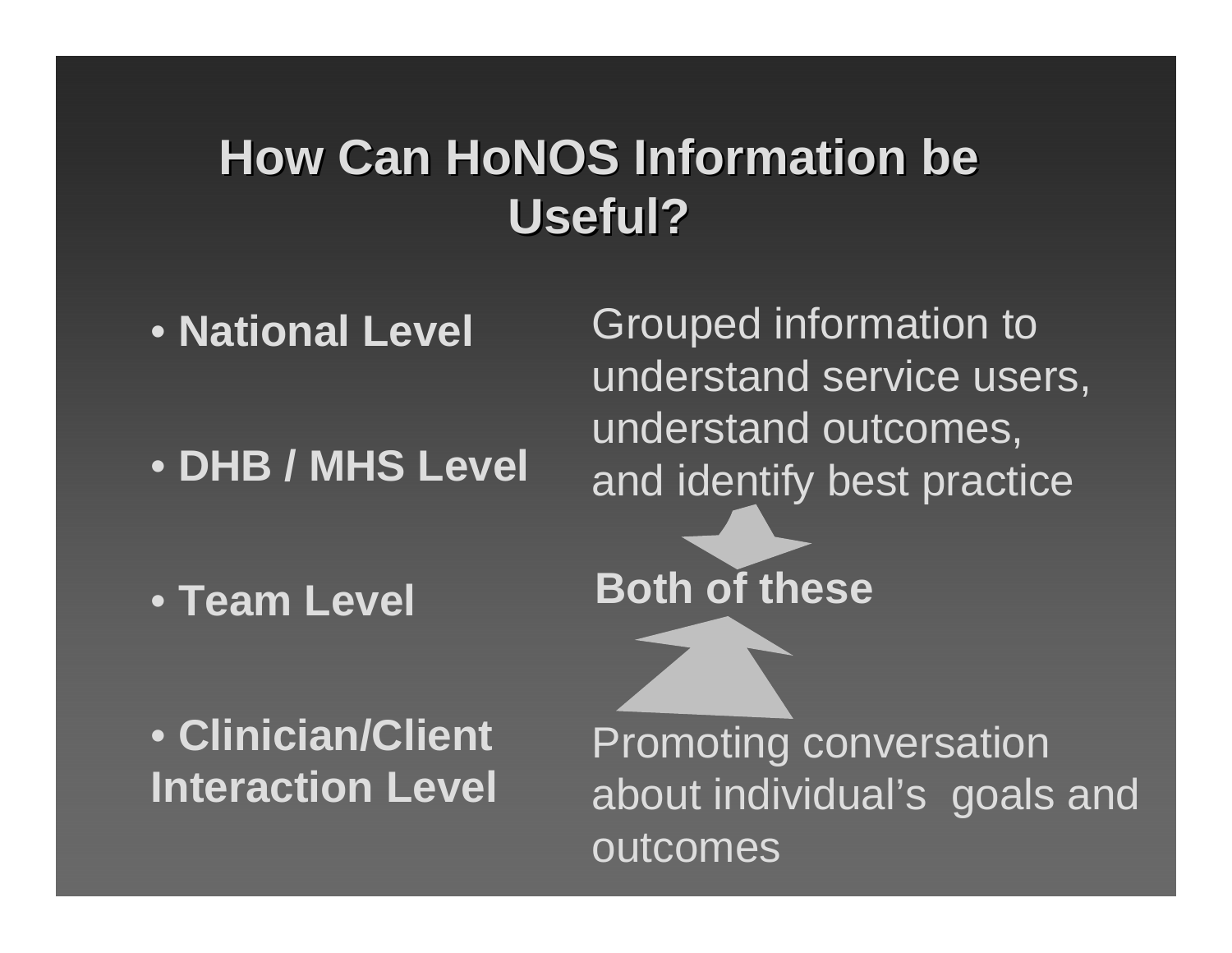### **How Can HoNOS Information be Useful? Useful?**

• **National Level**

• **DHB / MHS Level**

• **Team Level**

Grouped information to understand service users, understand outcomes, and identify best practice

**Both of these**

• **Clinician/Client Interaction Level**

Promoting conversation about individual's goals and outcomes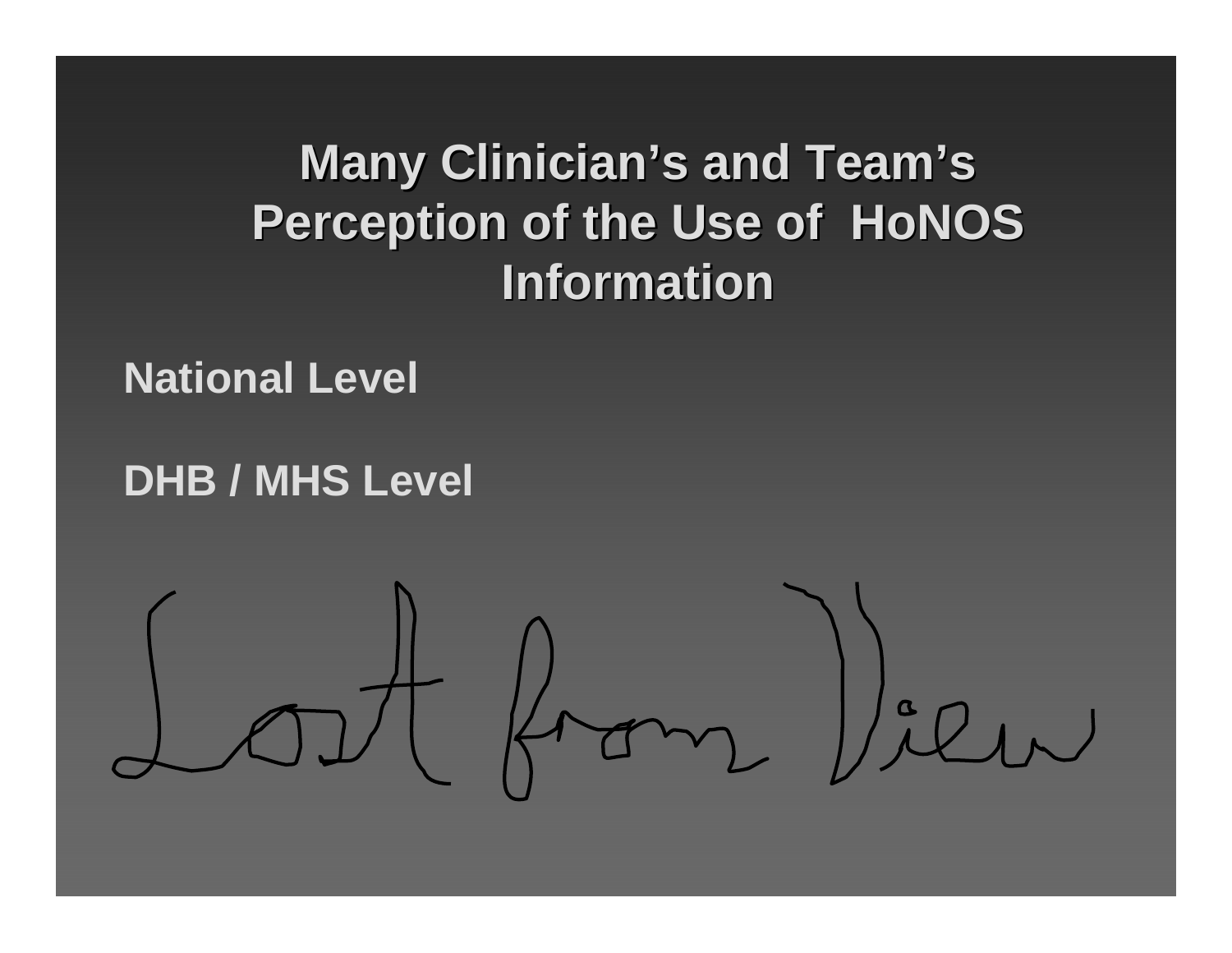# **Many Clinician's and Team's Perception of the Use of HoNOS Information Information**

### **National Level**

### **DHB / MHS Level**

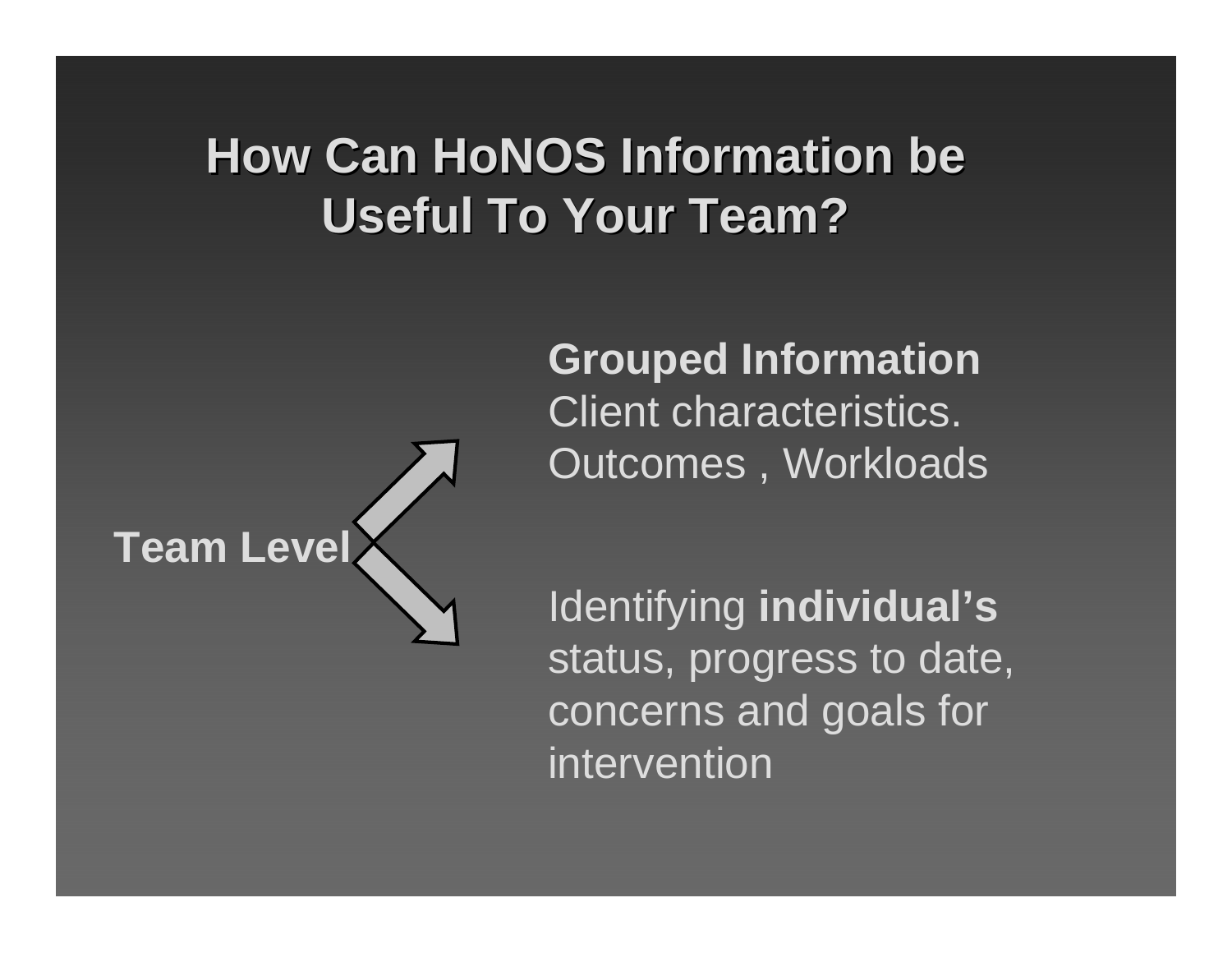### **How Can HoNOS Information be Useful To Your Team? Useful To Your Team?**



**Grouped Information** Client characteristics. Outcomes , Workloads

Identifying **individual's** status, progress to date, concerns and goals for intervention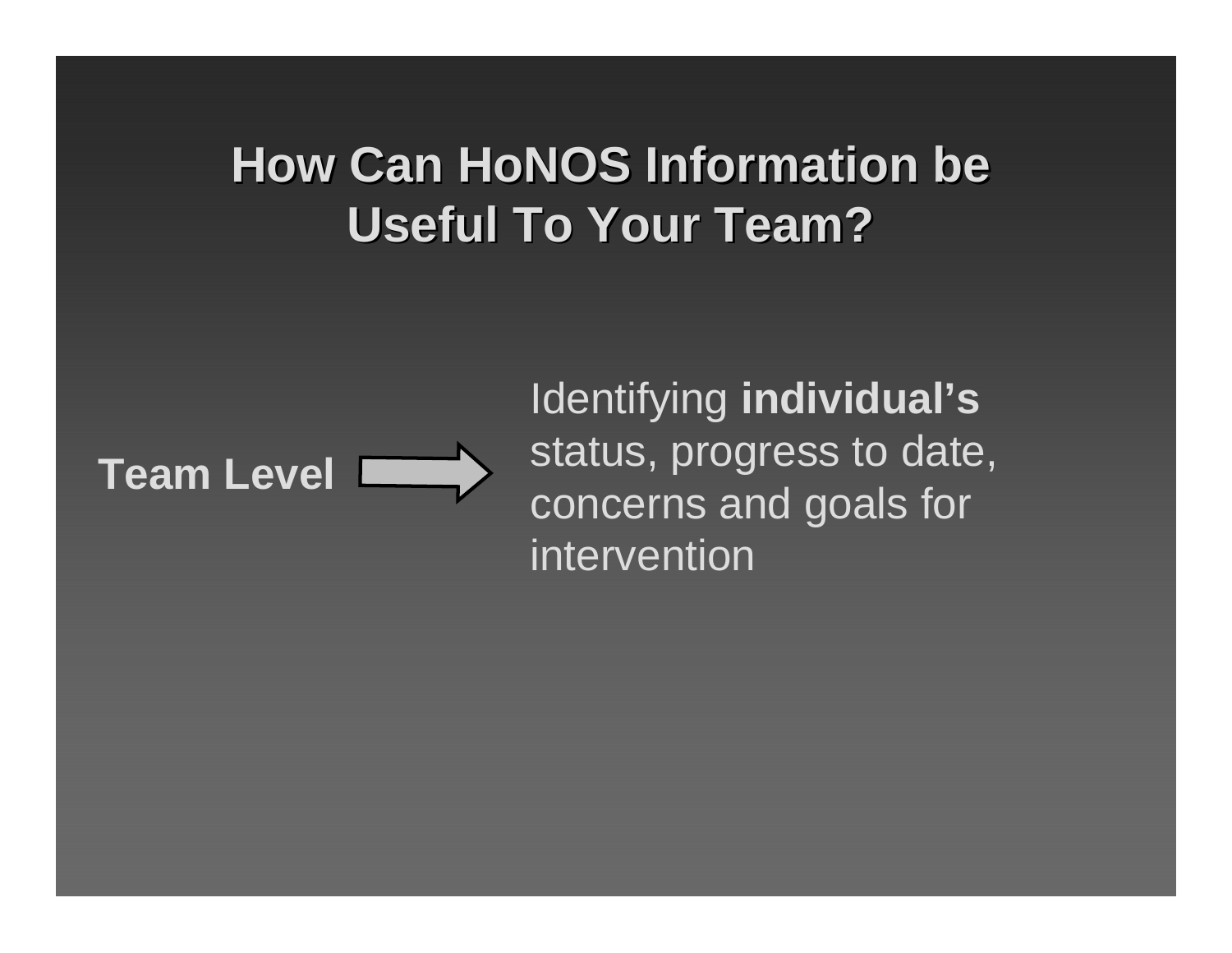# **How Can HoNOS Information be Useful To Your Team? Useful To Your Team?**



Identifying **individual's** status, progress to date, concerns and goals for intervention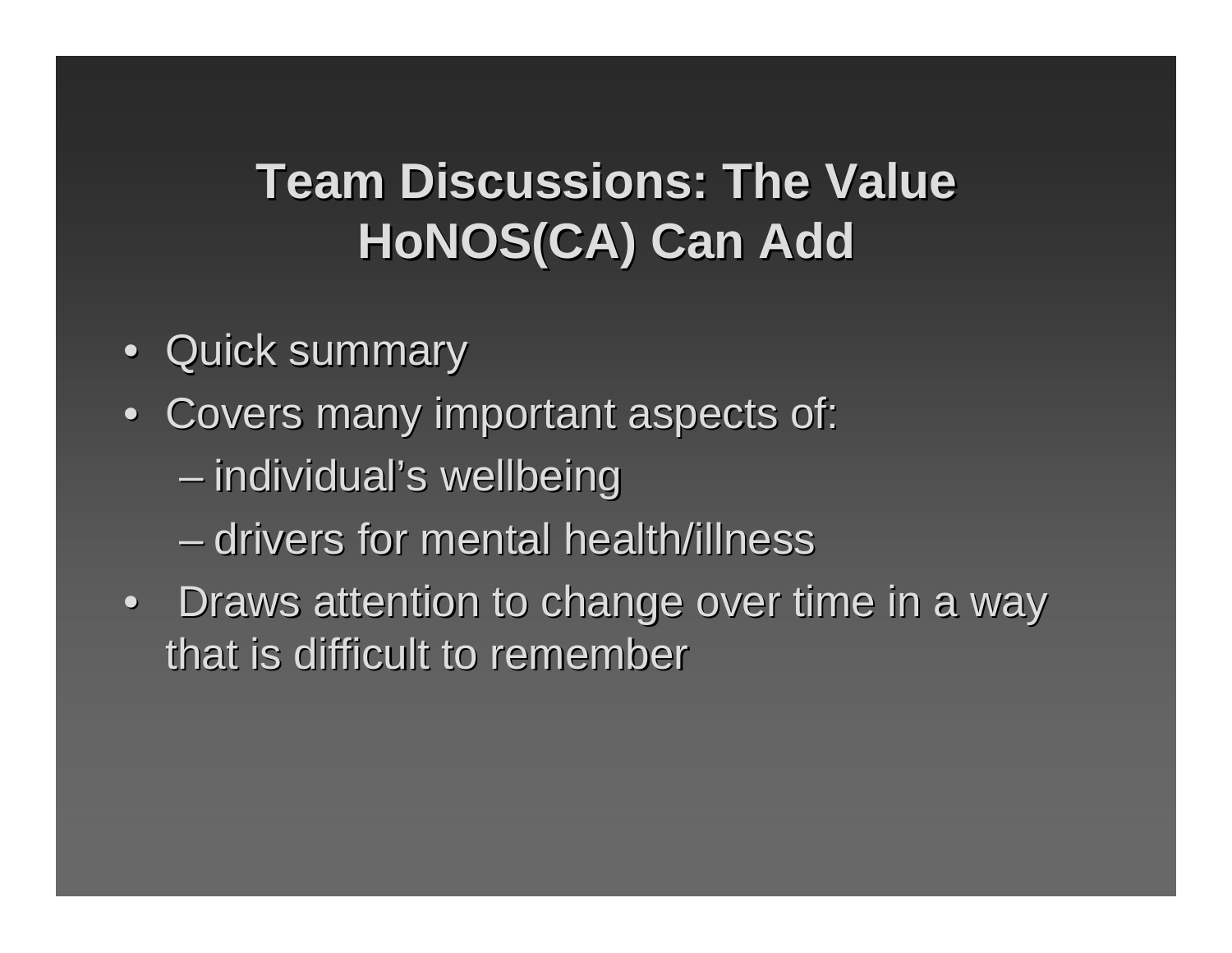# **Team Discussions: The Value HoNOS(CA) Can Add**

- Quick summary
- Covers many important aspects of:
	- –– individual's wellbeing
	- –– drivers for mental health/illness
- Draws attention to change over time in a way that is difficult to remember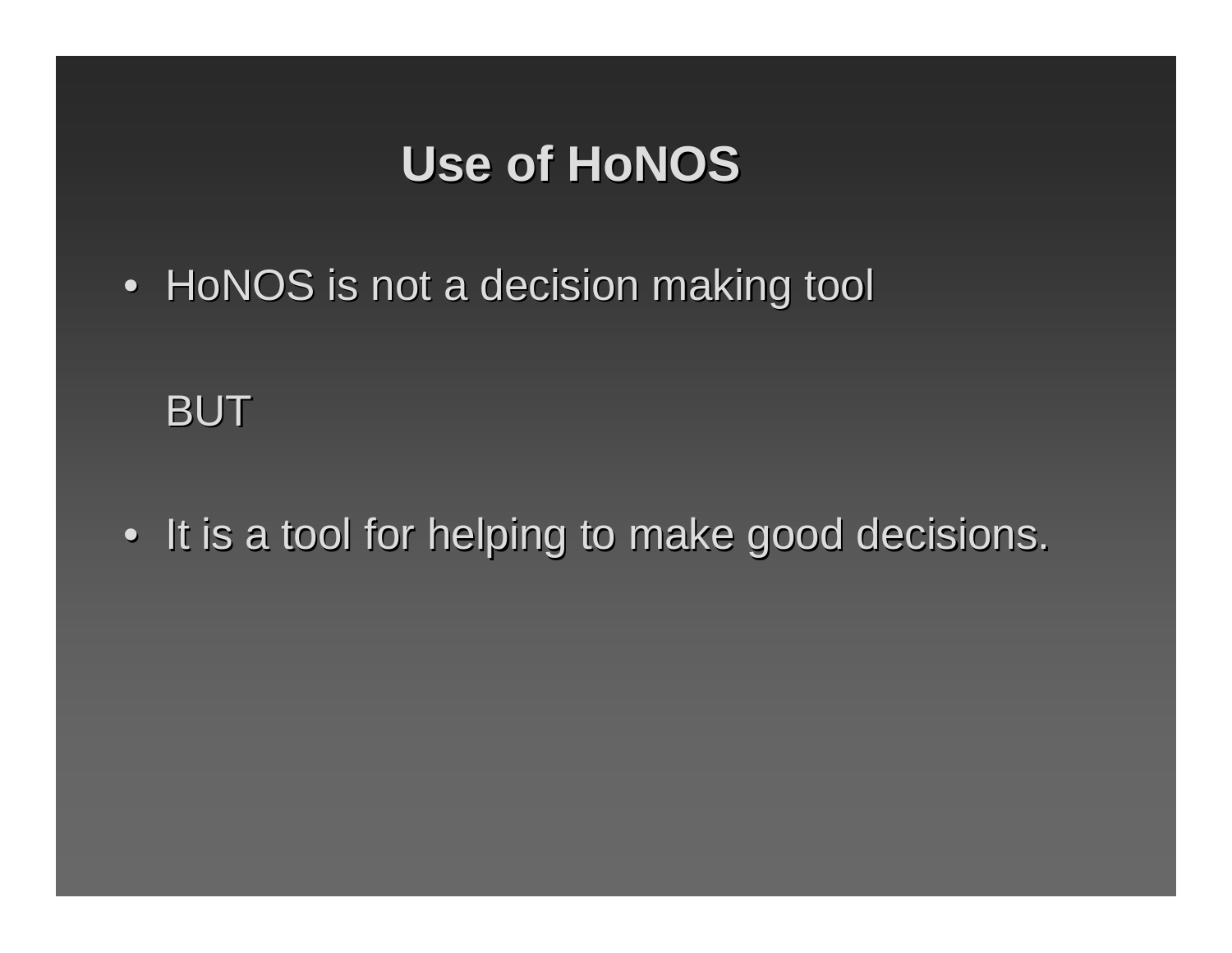### **Use of HoNOS Use of HoNOS**

 $\bullet\,$  HoNOS is not a decision making tool

BUT

• It is a tool for helping to make good decisions.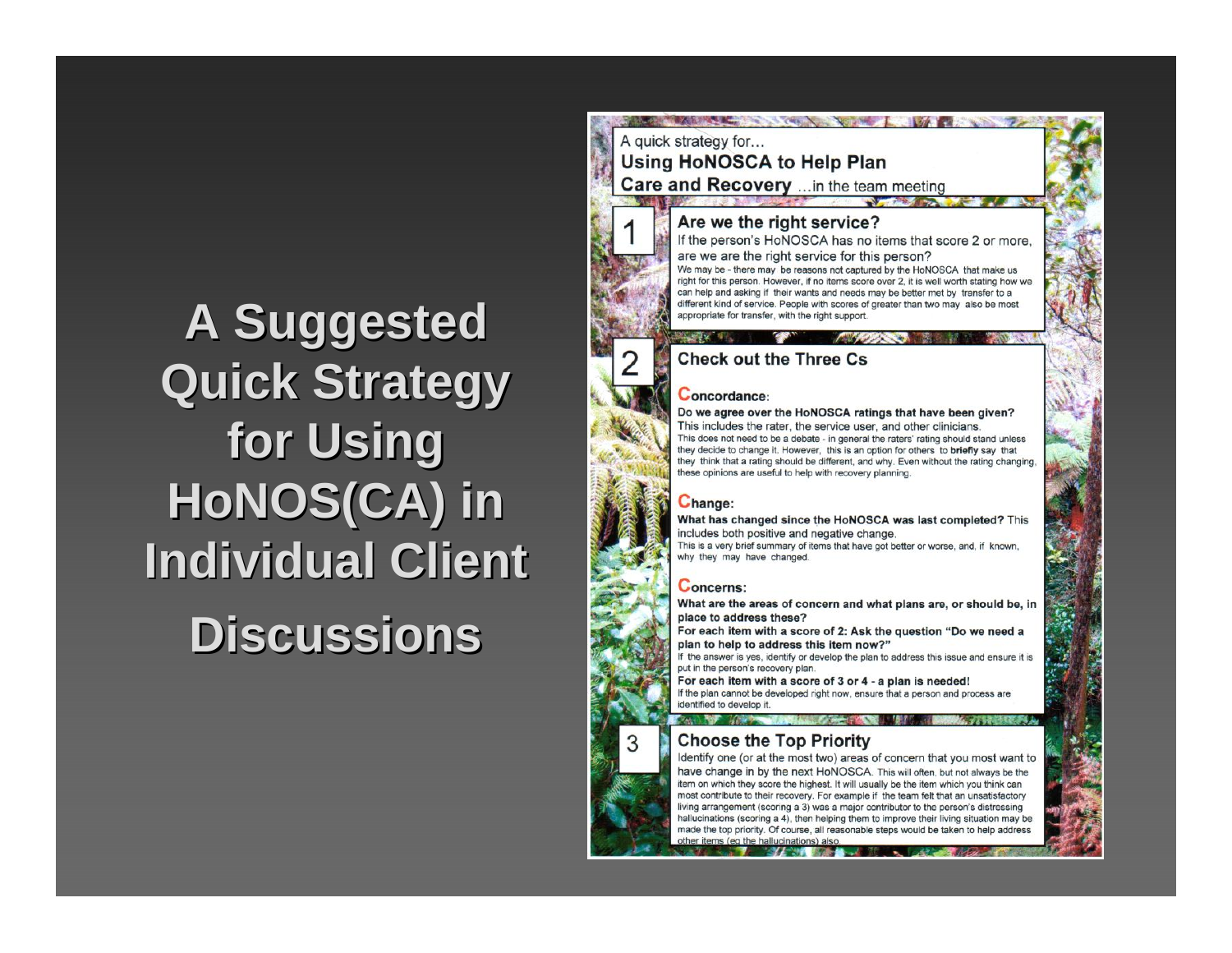# **A Suggested A Suggested Quick Strategy Quick Strategy for Using for Using HoNOS(CA) in Individual Client Discussions Discussions**

THE ARTICLE IN THE RESIDENCE OF A RESIDENCE OF A RESIDENCE OF A RESIDENCE OF A RESIDENCE OF A RESIDENCE OF A RESIDENCE OF A RESIDENCE OF A RESIDENCE OF A RESIDENCE OF A RESIDENCE OF A RESIDENCE OF A RESIDENCE OF A RESIDENC A quick strategy for... **Using HoNOSCA to Help Plan** Care and Recovery ... in the team meeting

#### Are we the right service?

If the person's HoNOSCA has no items that score 2 or more. are we are the right service for this person?

We may be - there may be reasons not captured by the HoNOSCA that make us right for this person. However, if no items score over 2, it is well worth stating how we can help and asking if their wants and needs may be better met by transfer to a different kind of service. People with scores of greater than two may also be most appropriate for transfer, with the right support

#### **Check out the Three Cs.**

#### Concordance:

Do we agree over the HoNOSCA ratings that have been given? This includes the rater, the service user, and other clinicians. This does not need to be a debate - in general the raters' rating should stand unless they decide to change it. However, this is an option for others to briefly say that they think that a rating should be different, and why. Even without the rating changing, these opinions are useful to help with recovery planning.

#### Change:

What has changed since the HoNOSCA was last completed? This includes both positive and negative change.

This is a very brief summary of items that have got better or worse, and, if known, why they may have changed.

#### **Concerns:**

What are the areas of concern and what plans are, or should be, in place to address these?

For each item with a score of 2: Ask the question "Do we need a plan to help to address this item now?"

If the answer is yes, identify or develop the plan to address this issue and ensure it put in the person's recovery plan.

For each item with a score of 3 or 4 - a plan is needed! If the plan cannot be developed right now, ensure that a person and process are identified to develop it.

#### **Pack Ray 1/19**

#### **Choose the Top Priority**

Identify one (or at the most two) areas of concern that you most want to have change in by the next HoNOSCA. This will often, but not always be the item on which they score the highest. It will usually be the item which you think can most contribute to their recovery. For example if the team felt that an unsatisfactory living arrangement (scoring a 3) was a major contributor to the person's distressing hallucinations (scoring a 4), then helping them to improve their living situation may be made the top priority. Of course, all reasonable steps would be taken to help address other items (eq the hallucinations) also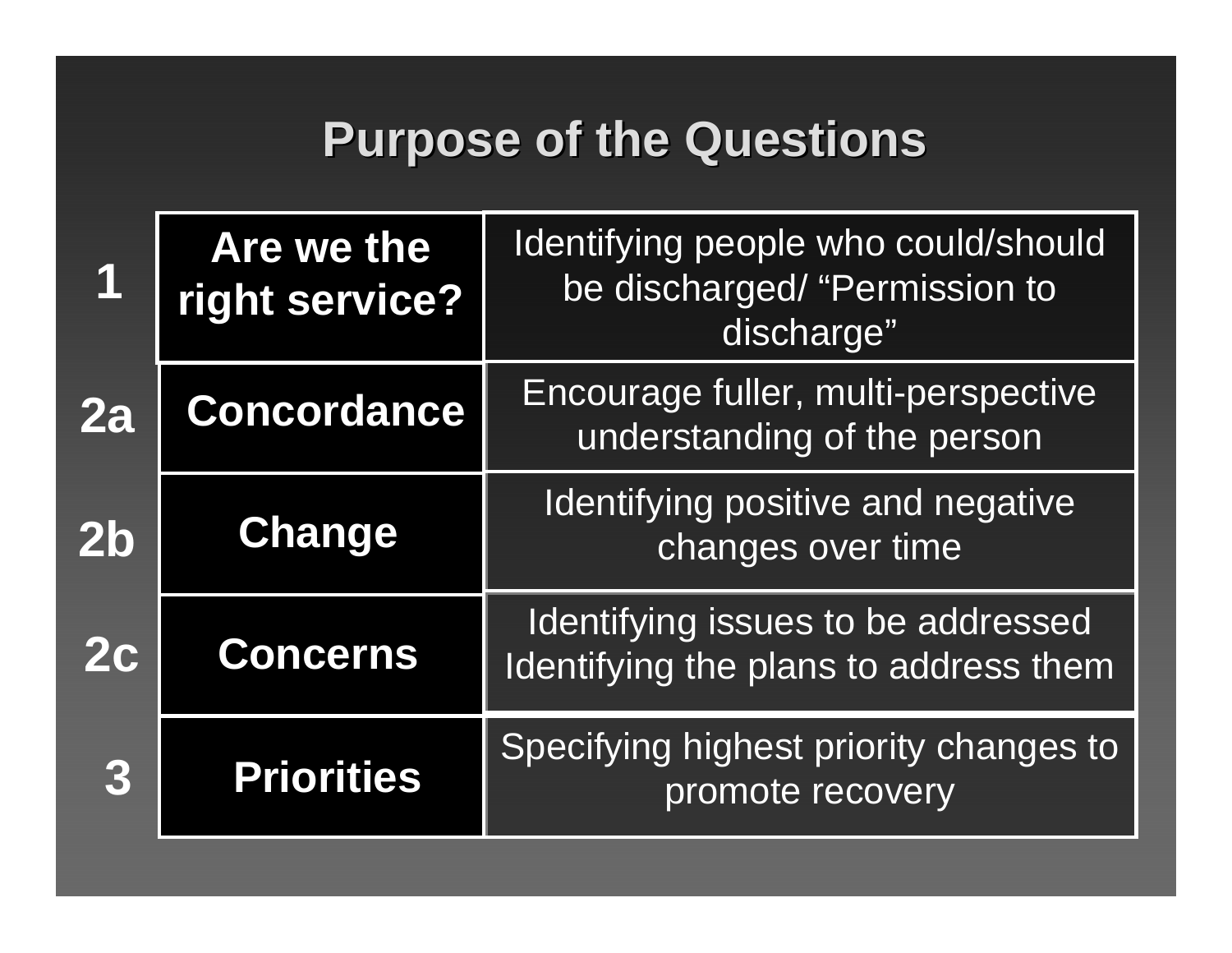### **Purpose of the Questions**

|               | Are we the<br>right service? | Identifying people who could/should<br>be discharged/ "Permission to<br>discharge" |
|---------------|------------------------------|------------------------------------------------------------------------------------|
| 2a            | <b>Concordance</b>           | Encourage fuller, multi-perspective<br>understanding of the person                 |
| $2\mathsf{b}$ | <b>Change</b>                | <b>Identifying positive and negative</b><br>changes over time                      |
| <b>2c</b>     | <b>Concerns</b>              | Identifying issues to be addressed<br>Identifying the plans to address them        |
| 3             | <b>Priorities</b>            | Specifying highest priority changes to<br>promote recovery                         |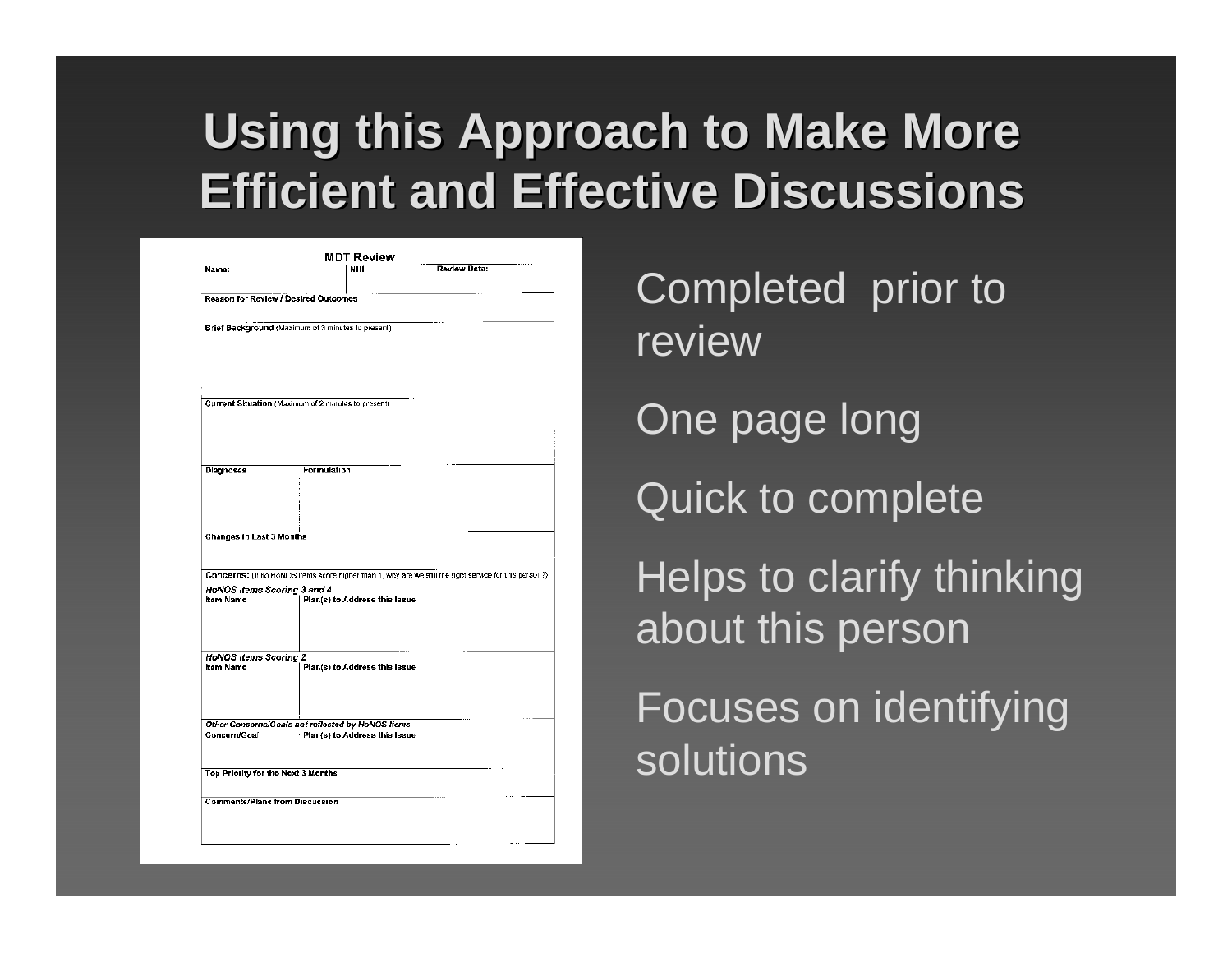# **Using this Approach to Make More Efficient and Effective Discussions Efficient and Effective Discussions**

|                                                                   |                                    | <b>MDT Review</b>               |                                                                                                        |  |
|-------------------------------------------------------------------|------------------------------------|---------------------------------|--------------------------------------------------------------------------------------------------------|--|
| Name:                                                             |                                    | NHI:                            | Review Date:                                                                                           |  |
| <b>Reason for Review / Desired Outcomes</b>                       |                                    |                                 |                                                                                                        |  |
| Brief Background (Maximum of 3 minutes to present)                |                                    |                                 |                                                                                                        |  |
|                                                                   |                                    |                                 |                                                                                                        |  |
|                                                                   |                                    |                                 |                                                                                                        |  |
|                                                                   |                                    |                                 |                                                                                                        |  |
| Current Situation (Maximum of 2 minutes to present)               |                                    |                                 |                                                                                                        |  |
|                                                                   |                                    |                                 |                                                                                                        |  |
|                                                                   |                                    |                                 |                                                                                                        |  |
|                                                                   |                                    |                                 |                                                                                                        |  |
| Diagnoses                                                         | Formulation                        |                                 |                                                                                                        |  |
|                                                                   |                                    |                                 |                                                                                                        |  |
|                                                                   |                                    |                                 |                                                                                                        |  |
| <b>Changes in Last 3 Months</b>                                   |                                    |                                 |                                                                                                        |  |
|                                                                   |                                    |                                 |                                                                                                        |  |
|                                                                   |                                    |                                 | Concerns: (if no HoNOS items score higher than 1, why are we still the right service for this person?) |  |
| <b>HoNOS Items Scoring 3 and 4</b><br>Itam Name                   |                                    | Plan(s) to Address this Issue   |                                                                                                        |  |
|                                                                   |                                    |                                 |                                                                                                        |  |
|                                                                   |                                    |                                 |                                                                                                        |  |
| <b>HoNOS Items Scoring 2</b>                                      |                                    |                                 |                                                                                                        |  |
| <b>Itam Name</b>                                                  |                                    | Plan(s) to Address this Issue   |                                                                                                        |  |
|                                                                   |                                    |                                 |                                                                                                        |  |
|                                                                   |                                    |                                 |                                                                                                        |  |
| Other Concerns/Goals not reflected by HoNOS Items<br>Concern/Goal |                                    | · Plan(s) to Address this Issue |                                                                                                        |  |
|                                                                   |                                    |                                 |                                                                                                        |  |
|                                                                   | Top Priority for the Next 3 Months |                                 |                                                                                                        |  |
|                                                                   |                                    |                                 |                                                                                                        |  |
|                                                                   |                                    |                                 |                                                                                                        |  |
| <b>Comments/Plans from Discussion</b>                             |                                    |                                 |                                                                                                        |  |

Completed prior to reviewOne page long Quick to complete Helps to clarify thinking about this person Focuses on identifying solutions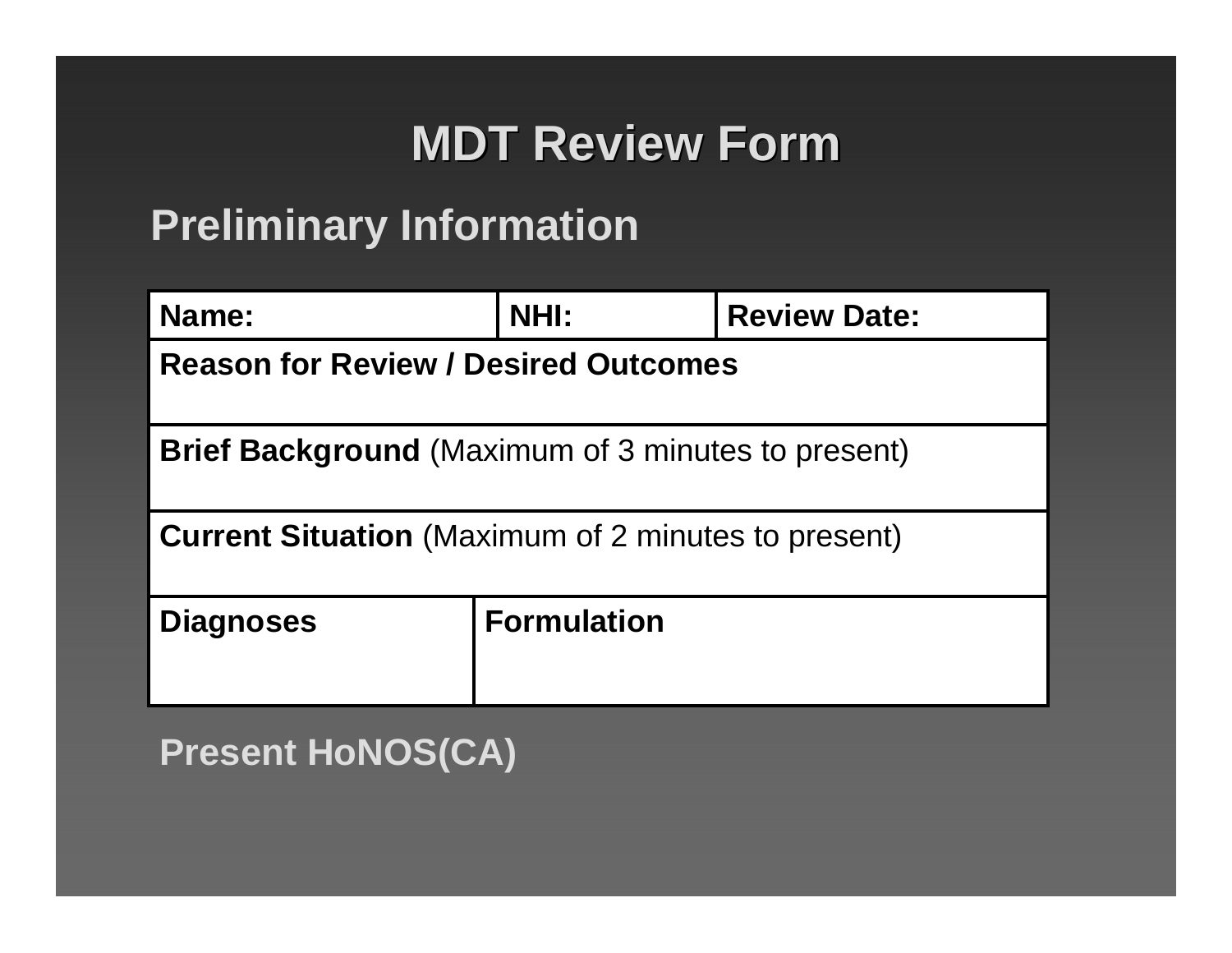# **MDT Review Form MDT Review Form**

### **Preliminary Information**

| Name:                                                      | <b>NHI:</b>        | <b>Review Date:</b> |  |
|------------------------------------------------------------|--------------------|---------------------|--|
| <b>Reason for Review / Desired Outcomes</b>                |                    |                     |  |
| <b>Brief Background</b> (Maximum of 3 minutes to present)  |                    |                     |  |
| <b>Current Situation</b> (Maximum of 2 minutes to present) |                    |                     |  |
| <b>Diagnoses</b>                                           | <b>Formulation</b> |                     |  |

**Present HoNOS(CA)**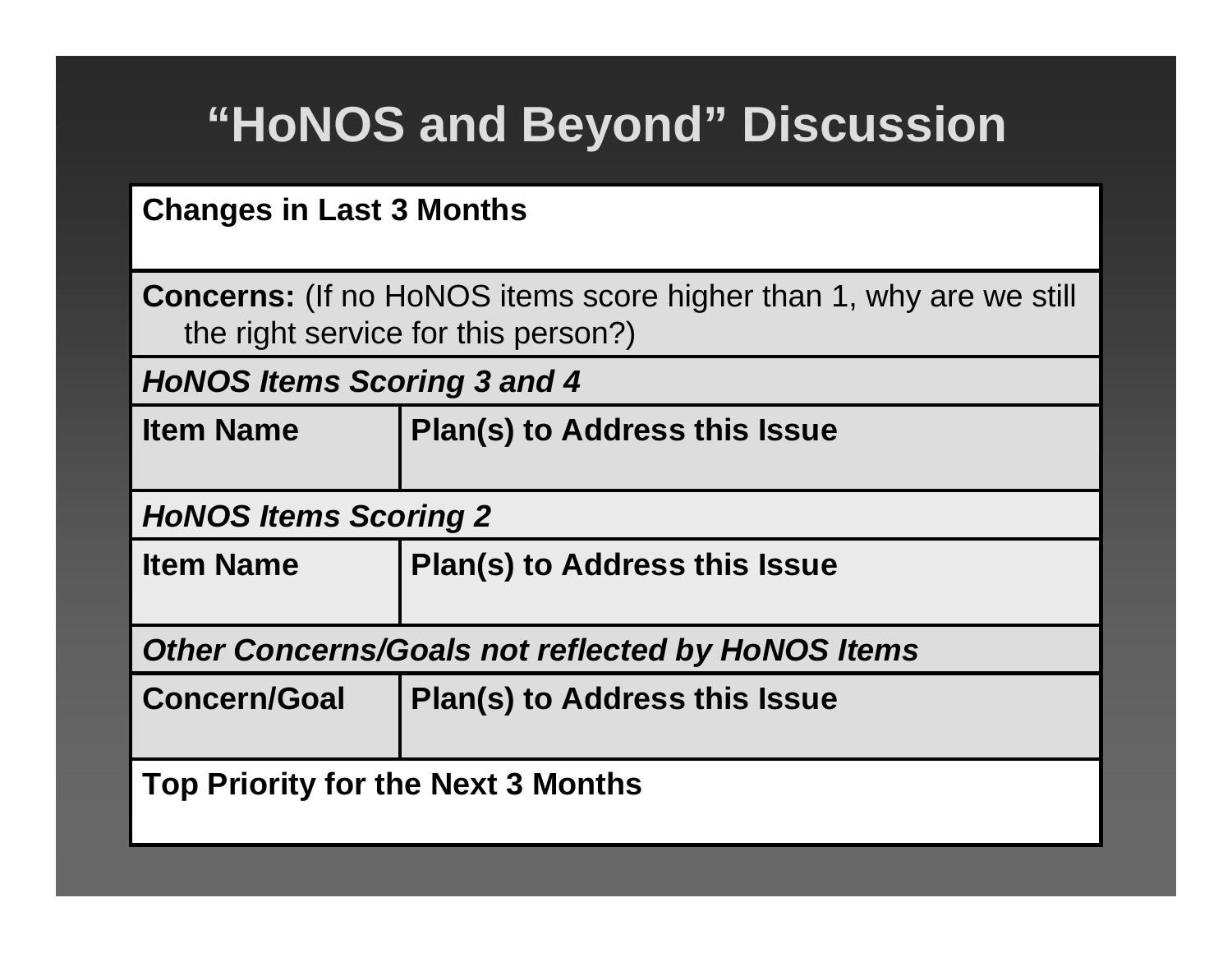# **"HoNOS and Beyond" Discussion**

### **Changes in Last 3 Months**

**Concerns:** (If no HoNOS items score higher than 1, why are we still the right service for this person?)

*HoNOS Items Scoring 3 and 4*

| <b>Item Name</b> | <b>Plan(s) to Address this Issue</b> |
|------------------|--------------------------------------|
|------------------|--------------------------------------|

### *HoNOS Items Scoring 2*

| <b>Item Name</b> | <b>Plan(s) to Address this Issue</b> |
|------------------|--------------------------------------|
|                  |                                      |

*Other Concerns/Goals not reflected by HoNOS Items*

**Concern/Goal Plan(s) to Address this Issue**

**Top Priority for the Next 3 Months**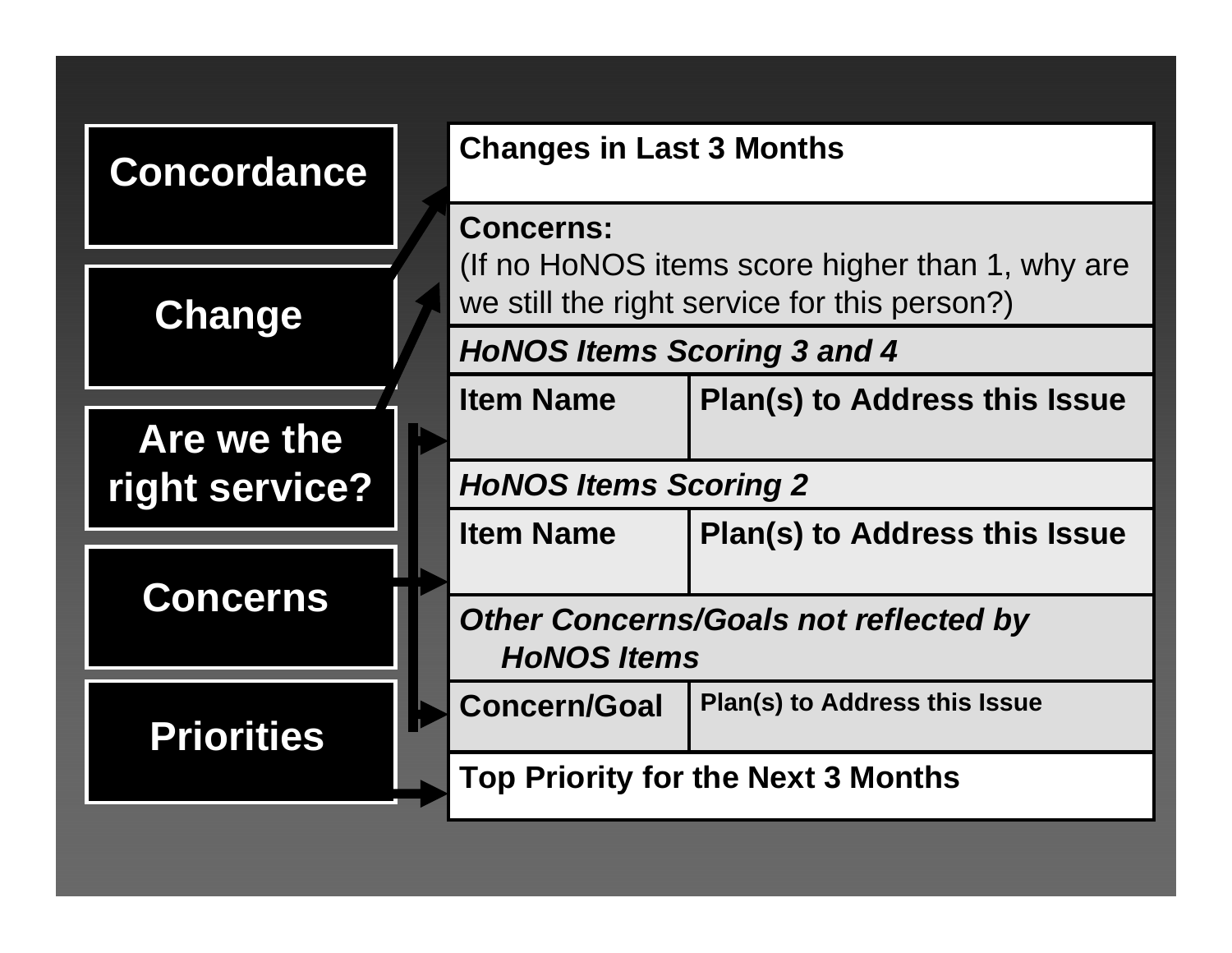| <b>Concordance</b> | <b>Changes in Last 3 Months</b>                                                                 |                                           |  |
|--------------------|-------------------------------------------------------------------------------------------------|-------------------------------------------|--|
|                    | <b>Concerns:</b>                                                                                |                                           |  |
| <b>Change</b>      | (If no HoNOS items score higher than 1, why are<br>we still the right service for this person?) |                                           |  |
|                    | <b>HoNOS Items Scoring 3 and 4</b>                                                              |                                           |  |
|                    | <b>Item Name</b>                                                                                | <b>Plan(s) to Address this Issue</b>      |  |
| Are we the         |                                                                                                 |                                           |  |
| right service?     | <b>HoNOS Items Scoring 2</b>                                                                    |                                           |  |
|                    | <b>Item Name</b>                                                                                | <b>Plan(s) to Address this Issue</b>      |  |
| <b>Concerns</b>    |                                                                                                 |                                           |  |
|                    | <b>Other Concerns/Goals not reflected by</b><br><b>HONOS Items</b>                              |                                           |  |
| <b>Priorities</b>  | <b>Concern/Goal</b>                                                                             | Plan(s) to Address this Issue             |  |
|                    |                                                                                                 | <b>Top Priority for the Next 3 Months</b> |  |